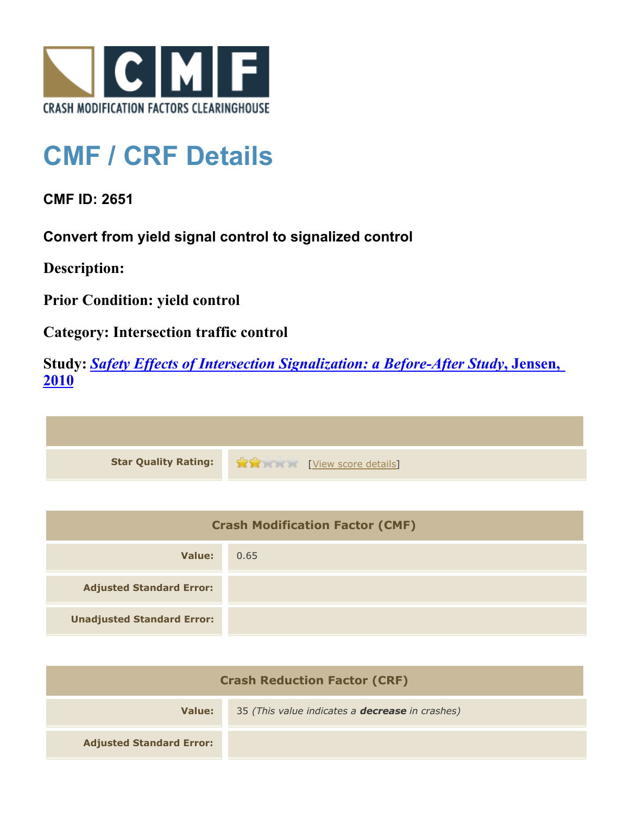

## **CMF / CRF Details**

**CMF ID: 2651**

**Convert from yield signal control to signalized control**

**Description:** 

**Prior Condition: yield control**

**Category: Intersection traffic control**

**Study:** *[Safety Effects of Intersection Signalization: a Before-After Study](http://www.cmfclearinghouse.org/study_detail.cfm?stid=170)***[, Jensen,](http://www.cmfclearinghouse.org/study_detail.cfm?stid=170) [2010](http://www.cmfclearinghouse.org/study_detail.cfm?stid=170)**



| <b>Crash Modification Factor (CMF)</b> |      |
|----------------------------------------|------|
| Value:                                 | 0.65 |
| <b>Adjusted Standard Error:</b>        |      |
| <b>Unadjusted Standard Error:</b>      |      |

| <b>Crash Reduction Factor (CRF)</b> |                                                        |
|-------------------------------------|--------------------------------------------------------|
| Value:                              | 35 (This value indicates a <b>decrease</b> in crashes) |
| <b>Adjusted Standard Error:</b>     |                                                        |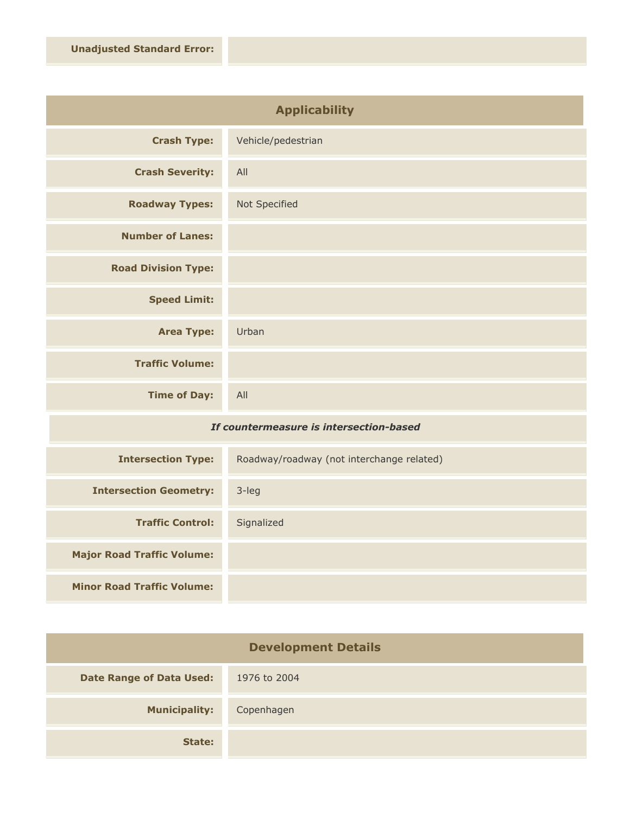| <b>Applicability</b>       |                    |
|----------------------------|--------------------|
| <b>Crash Type:</b>         | Vehicle/pedestrian |
| <b>Crash Severity:</b>     | All                |
| <b>Roadway Types:</b>      | Not Specified      |
| <b>Number of Lanes:</b>    |                    |
| <b>Road Division Type:</b> |                    |
| <b>Speed Limit:</b>        |                    |
| <b>Area Type:</b>          | Urban              |
| <b>Traffic Volume:</b>     |                    |
| <b>Time of Day:</b>        | All                |

## *If countermeasure is intersection-based*

| <b>Intersection Type:</b>         | Roadway/roadway (not interchange related) |
|-----------------------------------|-------------------------------------------|
| <b>Intersection Geometry:</b>     | $3$ -leg                                  |
| <b>Traffic Control:</b>           | Signalized                                |
| <b>Major Road Traffic Volume:</b> |                                           |
| <b>Minor Road Traffic Volume:</b> |                                           |

| <b>Development Details</b>      |              |
|---------------------------------|--------------|
| <b>Date Range of Data Used:</b> | 1976 to 2004 |
| <b>Municipality:</b>            | Copenhagen   |
| State:                          |              |